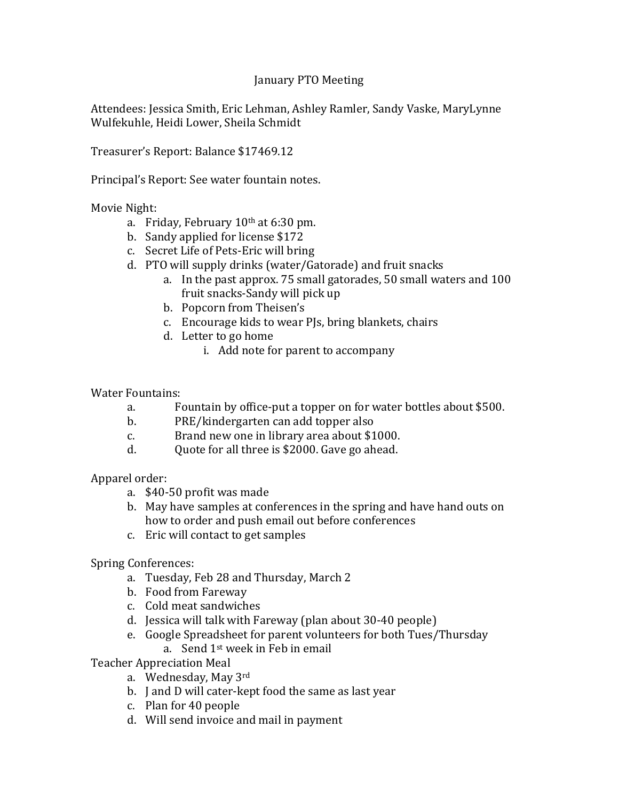## January PTO Meeting

Attendees: Jessica Smith, Eric Lehman, Ashley Ramler, Sandy Vaske, MaryLynne Wulfekuhle, Heidi Lower, Sheila Schmidt

Treasurer's Report: Balance \$17469.12

Principal's Report: See water fountain notes.

Movie Night:

- a. Friday, February  $10<sup>th</sup>$  at 6:30 pm.
- b. Sandy applied for license \$172
- c. Secret Life of Pets-Eric will bring
- d. PTO will supply drinks (water/Gatorade) and fruit snacks
	- a. In the past approx. 75 small gatorades, 50 small waters and 100 fruit snacks-Sandy will pick up
	- b. Popcorn from Theisen's
	- c. Encourage kids to wear PJs, bring blankets, chairs
	- d. Letter to go home
		- i. Add note for parent to accompany

Water Fountains:

- a. Fountain by office-put a topper on for water bottles about \$500.
- b. PRE/kindergarten can add topper also
- c. Brand new one in library area about \$1000.
- d. Quote for all three is \$2000. Gave go ahead.

Apparel order:

- a. \$40-50 profit was made
- b. May have samples at conferences in the spring and have hand outs on how to order and push email out before conferences
- c. Eric will contact to get samples

Spring Conferences:

- a. Tuesday, Feb 28 and Thursday, March 2
- b. Food from Fareway
- c. Cold meat sandwiches
- d. Jessica will talk with Fareway (plan about 30-40 people)
- e. Google Spreadsheet for parent volunteers for both Tues/Thursday a. Send 1st week in Feb in email

Teacher Appreciation Meal

- a. Wednesday, May 3rd
- b. J and D will cater-kept food the same as last year
- c. Plan for 40 people
- d. Will send invoice and mail in payment